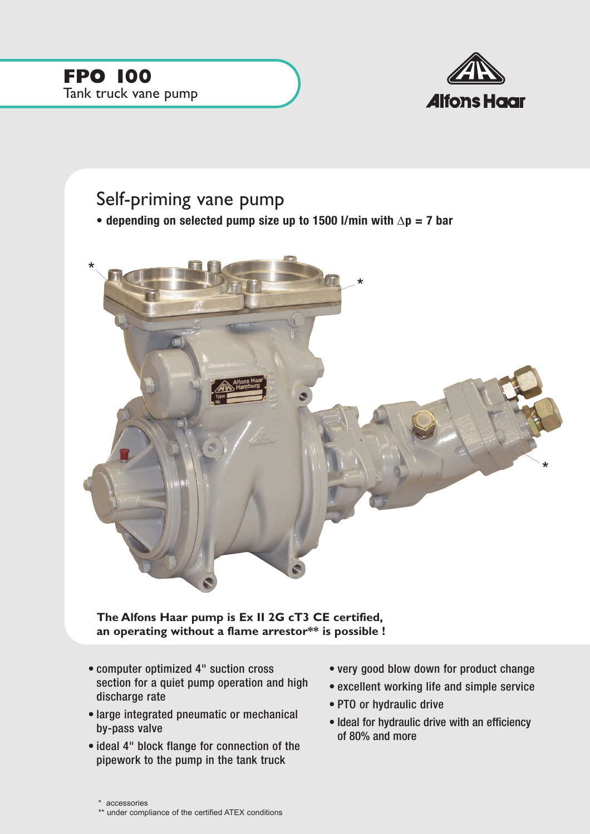

## Self-priming vane pump

**• depending on selected pump size up to 1500 l/min with** ∆**p = 7 bar**



**The Alfons Haar pump is Ex II 2G cT3 CE certified, an operating without a flame arrestor\*\* is possible !**

- computer optimized 4" suction cross section for a quiet pump operation and high discharge rate
- large integrated pneumatic or mechanical by-pass valve
- ideal 4" block flange for connection of the pipework to the pump in the tank truck
- very good blow down for product change
- excellent working life and simple service
- PTO or hydraulic drive
- Ideal for hydraulic drive with an efficiency of 80% and more

<sup>\*</sup> accessories

<sup>\*\*</sup> under compliance of the certified ATEX conditions